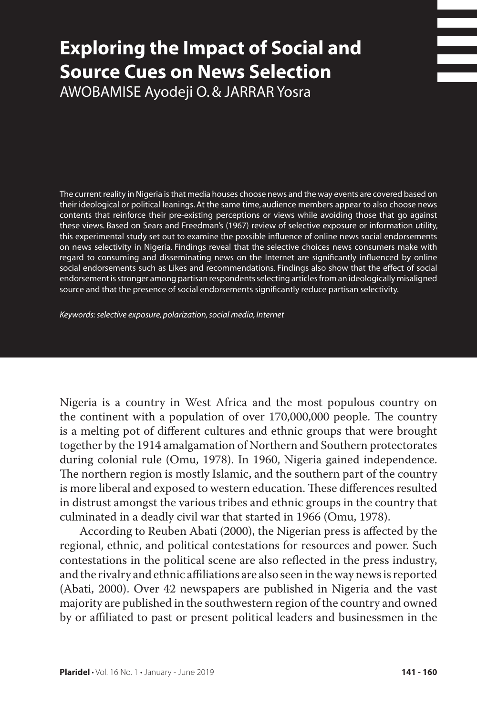# **Exploring the Impact of Social and Source Cues on News Selection** Awobamise Ayodeji O. & Jarrar Yosra

The current reality in Nigeria is that media houses choose news and the way events are covered based on their ideological or political leanings. At the same time, audience members appear to also choose news contents that reinforce their pre-existing perceptions or views while avoiding those that go against these views. Based on Sears and Freedman's (1967) review of selective exposure or information utility, this experimental study set out to examine the possible influence of online news social endorsements on news selectivity in Nigeria. Findings reveal that the selective choices news consumers make with regard to consuming and disseminating news on the Internet are significantly influenced by online social endorsements such as Likes and recommendations. Findings also show that the effect of social endorsement is stronger among partisan respondents selecting articles from an ideologically misaligned source and that the presence of social endorsements significantly reduce partisan selectivity.

*Keywords: selective exposure, polarization, social media, Internet*

Nigeria is a country in West Africa and the most populous country on the continent with a population of over 170,000,000 people. The country is a melting pot of different cultures and ethnic groups that were brought together by the 1914 amalgamation of Northern and Southern protectorates during colonial rule (Omu, 1978). In 1960, Nigeria gained independence. The northern region is mostly Islamic, and the southern part of the country is more liberal and exposed to western education. These differences resulted in distrust amongst the various tribes and ethnic groups in the country that culminated in a deadly civil war that started in 1966 (Omu, 1978).

According to Reuben Abati (2000), the Nigerian press is affected by the regional, ethnic, and political contestations for resources and power. Such contestations in the political scene are also reflected in the press industry, and the rivalry and ethnic affiliations are also seen in the way news is reported (Abati, 2000). Over 42 newspapers are published in Nigeria and the vast majority are published in the southwestern region of the country and owned by or affiliated to past or present political leaders and businessmen in the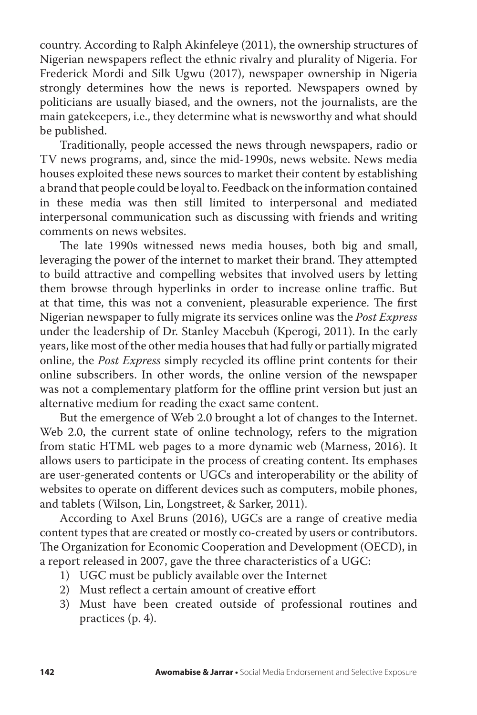country. According to Ralph Akinfeleye (2011), the ownership structures of Nigerian newspapers reflect the ethnic rivalry and plurality of Nigeria. For Frederick Mordi and Silk Ugwu (2017), newspaper ownership in Nigeria strongly determines how the news is reported. Newspapers owned by politicians are usually biased, and the owners, not the journalists, are the main gatekeepers, i.e., they determine what is newsworthy and what should be published.

Traditionally, people accessed the news through newspapers, radio or TV news programs, and, since the mid-1990s, news website. News media houses exploited these news sources to market their content by establishing a brand that people could be loyal to. Feedback on the information contained in these media was then still limited to interpersonal and mediated interpersonal communication such as discussing with friends and writing comments on news websites.

The late 1990s witnessed news media houses, both big and small, leveraging the power of the internet to market their brand. They attempted to build attractive and compelling websites that involved users by letting them browse through hyperlinks in order to increase online traffic. But at that time, this was not a convenient, pleasurable experience. The first Nigerian newspaper to fully migrate its services online was the *Post Express*  under the leadership of Dr. Stanley Macebuh (Kperogi, 2011). In the early years, like most of the other media houses that had fully or partially migrated online, the *Post Express* simply recycled its offline print contents for their online subscribers. In other words, the online version of the newspaper was not a complementary platform for the offline print version but just an alternative medium for reading the exact same content.

But the emergence of Web 2.0 brought a lot of changes to the Internet. Web 2.0, the current state of online technology, refers to the migration from static HTML web pages to a more dynamic web (Marness, 2016). It allows users to participate in the process of creating content. Its emphases are user-generated contents or UGCs and interoperability or the ability of websites to operate on different devices such as computers, mobile phones, and tablets (Wilson, Lin, Longstreet, & Sarker, 2011).

According to Axel Bruns (2016), UGCs are a range of creative media content types that are created or mostly co-created by users or contributors. The Organization for Economic Cooperation and Development (OECD), in a report released in 2007, gave the three characteristics of a UGC:

- 1) UGC must be publicly available over the Internet
- 2) Must reflect a certain amount of creative effort
- 3) Must have been created outside of professional routines and practices (p. 4).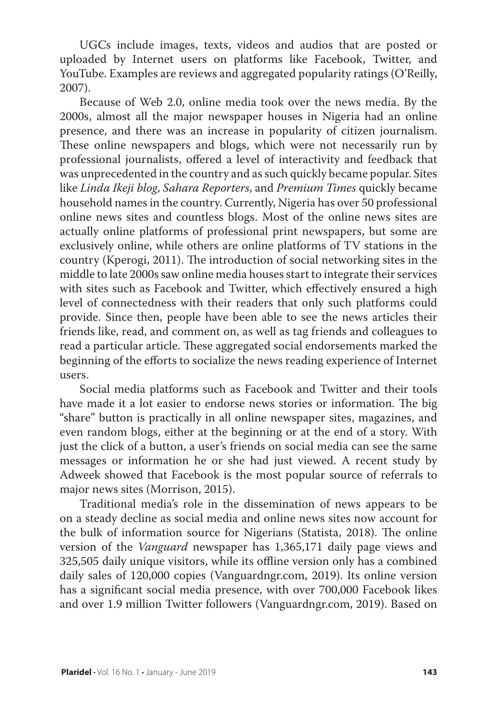UGCs include images, texts, videos and audios that are posted or uploaded by Internet users on platforms like Facebook, Twitter, and YouTube. Examples are reviews and aggregated popularity ratings (O'Reilly, 2007).

Because of Web 2.0, online media took over the news media. By the 2000s, almost all the major newspaper houses in Nigeria had an online presence, and there was an increase in popularity of citizen journalism. These online newspapers and blogs, which were not necessarily run by professional journalists, offered a level of interactivity and feedback that was unprecedented in the country and as such quickly became popular. Sites like *Linda Ikeji blog*, *Sahara Reporters*, and *Premium Times* quickly became household names in the country. Currently, Nigeria has over 50 professional online news sites and countless blogs. Most of the online news sites are actually online platforms of professional print newspapers, but some are exclusively online, while others are online platforms of TV stations in the country (Kperogi, 2011). The introduction of social networking sites in the middle to late 2000s saw online media houses start to integrate their services with sites such as Facebook and Twitter, which effectively ensured a high level of connectedness with their readers that only such platforms could provide. Since then, people have been able to see the news articles their friends like, read, and comment on, as well as tag friends and colleagues to read a particular article. These aggregated social endorsements marked the beginning of the efforts to socialize the news reading experience of Internet users.

Social media platforms such as Facebook and Twitter and their tools have made it a lot easier to endorse news stories or information. The big "share" button is practically in all online newspaper sites, magazines, and even random blogs, either at the beginning or at the end of a story. With just the click of a button, a user's friends on social media can see the same messages or information he or she had just viewed. A recent study by Adweek showed that Facebook is the most popular source of referrals to major news sites (Morrison, 2015).

Traditional media's role in the dissemination of news appears to be on a steady decline as social media and online news sites now account for the bulk of information source for Nigerians (Statista, 2018). The online version of the *Vanguard* newspaper has 1,365,171 daily page views and 325,505 daily unique visitors, while its offline version only has a combined daily sales of 120,000 copies (Vanguardngr.com, 2019). Its online version has a significant social media presence, with over 700,000 Facebook likes and over 1.9 million Twitter followers (Vanguardngr.com, 2019). Based on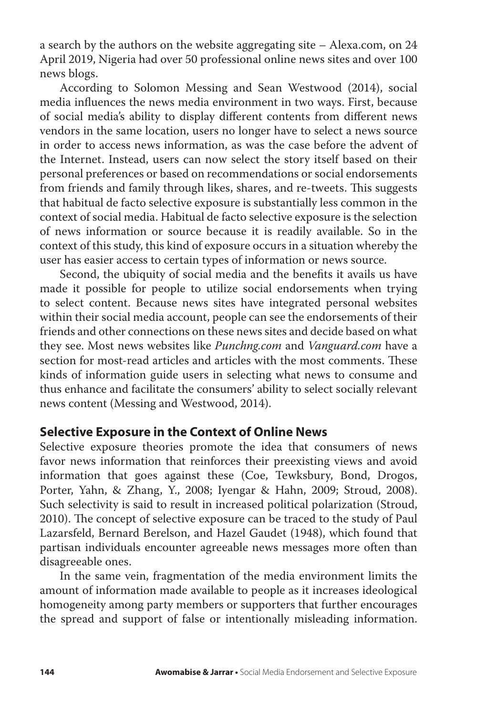a search by the authors on the website aggregating site – Alexa.com, on 24 April 2019, Nigeria had over 50 professional online news sites and over 100 news blogs.

According to Solomon Messing and Sean Westwood (2014), social media influences the news media environment in two ways. First, because of social media's ability to display different contents from different news vendors in the same location, users no longer have to select a news source in order to access news information, as was the case before the advent of the Internet. Instead, users can now select the story itself based on their personal preferences or based on recommendations or social endorsements from friends and family through likes, shares, and re-tweets. This suggests that habitual de facto selective exposure is substantially less common in the context of social media. Habitual de facto selective exposure is the selection of news information or source because it is readily available. So in the context of this study, this kind of exposure occurs in a situation whereby the user has easier access to certain types of information or news source.

Second, the ubiquity of social media and the benefits it avails us have made it possible for people to utilize social endorsements when trying to select content. Because news sites have integrated personal websites within their social media account, people can see the endorsements of their friends and other connections on these news sites and decide based on what they see. Most news websites like *Punchng.com* and *Vanguard.com* have a section for most-read articles and articles with the most comments. These kinds of information guide users in selecting what news to consume and thus enhance and facilitate the consumers' ability to select socially relevant news content (Messing and Westwood, 2014).

## **Selective Exposure in the Context of Online News**

Selective exposure theories promote the idea that consumers of news favor news information that reinforces their preexisting views and avoid information that goes against these (Coe, Tewksbury, Bond, Drogos, Porter, Yahn, & Zhang, Y., 2008; Iyengar & Hahn, 2009; Stroud, 2008). Such selectivity is said to result in increased political polarization (Stroud, 2010). The concept of selective exposure can be traced to the study of Paul Lazarsfeld, Bernard Berelson, and Hazel Gaudet (1948), which found that partisan individuals encounter agreeable news messages more often than disagreeable ones.

In the same vein, fragmentation of the media environment limits the amount of information made available to people as it increases ideological homogeneity among party members or supporters that further encourages the spread and support of false or intentionally misleading information.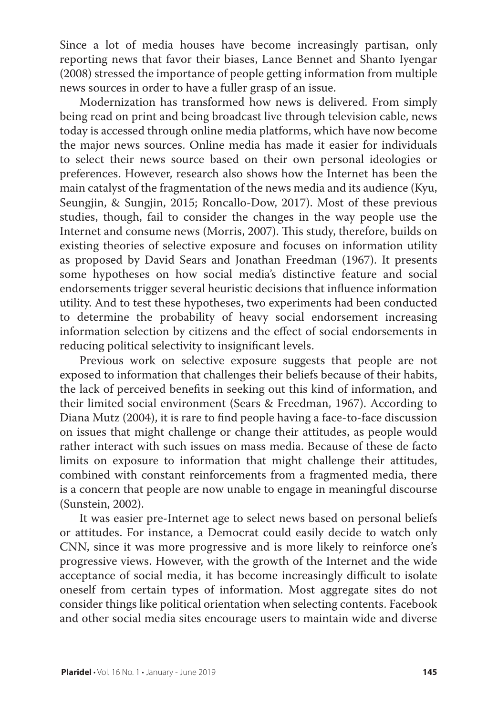Since a lot of media houses have become increasingly partisan, only reporting news that favor their biases, Lance Bennet and Shanto Iyengar (2008) stressed the importance of people getting information from multiple news sources in order to have a fuller grasp of an issue.

Modernization has transformed how news is delivered. From simply being read on print and being broadcast live through television cable, news today is accessed through online media platforms, which have now become the major news sources. Online media has made it easier for individuals to select their news source based on their own personal ideologies or preferences. However, research also shows how the Internet has been the main catalyst of the fragmentation of the news media and its audience (Kyu, Seungjin, & Sungjin, 2015; Roncallo-Dow, 2017). Most of these previous studies, though, fail to consider the changes in the way people use the Internet and consume news (Morris, 2007). This study, therefore, builds on existing theories of selective exposure and focuses on information utility as proposed by David Sears and Jonathan Freedman (1967). It presents some hypotheses on how social media's distinctive feature and social endorsements trigger several heuristic decisions that influence information utility. And to test these hypotheses, two experiments had been conducted to determine the probability of heavy social endorsement increasing information selection by citizens and the effect of social endorsements in reducing political selectivity to insignificant levels.

Previous work on selective exposure suggests that people are not exposed to information that challenges their beliefs because of their habits, the lack of perceived benefits in seeking out this kind of information, and their limited social environment (Sears & Freedman, 1967). According to Diana Mutz (2004), it is rare to find people having a face-to-face discussion on issues that might challenge or change their attitudes, as people would rather interact with such issues on mass media. Because of these de facto limits on exposure to information that might challenge their attitudes, combined with constant reinforcements from a fragmented media, there is a concern that people are now unable to engage in meaningful discourse (Sunstein, 2002).

It was easier pre-Internet age to select news based on personal beliefs or attitudes. For instance, a Democrat could easily decide to watch only CNN, since it was more progressive and is more likely to reinforce one's progressive views. However, with the growth of the Internet and the wide acceptance of social media, it has become increasingly difficult to isolate oneself from certain types of information. Most aggregate sites do not consider things like political orientation when selecting contents. Facebook and other social media sites encourage users to maintain wide and diverse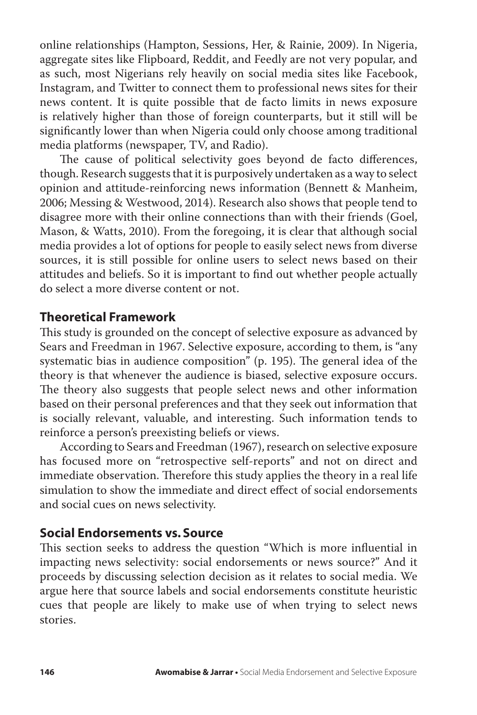online relationships (Hampton, Sessions, Her, & Rainie, 2009). In Nigeria, aggregate sites like Flipboard, Reddit, and Feedly are not very popular, and as such, most Nigerians rely heavily on social media sites like Facebook, Instagram, and Twitter to connect them to professional news sites for their news content. It is quite possible that de facto limits in news exposure is relatively higher than those of foreign counterparts, but it still will be significantly lower than when Nigeria could only choose among traditional media platforms (newspaper, TV, and Radio).

The cause of political selectivity goes beyond de facto differences, though. Research suggests that it is purposively undertaken as a way to select opinion and attitude-reinforcing news information (Bennett & Manheim, 2006; Messing & Westwood, 2014). Research also shows that people tend to disagree more with their online connections than with their friends (Goel, Mason, & Watts, 2010). From the foregoing, it is clear that although social media provides a lot of options for people to easily select news from diverse sources, it is still possible for online users to select news based on their attitudes and beliefs. So it is important to find out whether people actually do select a more diverse content or not.

## **Theoretical Framework**

This study is grounded on the concept of selective exposure as advanced by Sears and Freedman in 1967. Selective exposure, according to them, is "any systematic bias in audience composition" (p. 195). The general idea of the theory is that whenever the audience is biased, selective exposure occurs. The theory also suggests that people select news and other information based on their personal preferences and that they seek out information that is socially relevant, valuable, and interesting. Such information tends to reinforce a person's preexisting beliefs or views.

According to Sears and Freedman (1967), research on selective exposure has focused more on "retrospective self-reports" and not on direct and immediate observation. Therefore this study applies the theory in a real life simulation to show the immediate and direct effect of social endorsements and social cues on news selectivity.

#### **Social Endorsements vs. Source**

This section seeks to address the question "Which is more influential in impacting news selectivity: social endorsements or news source?" And it proceeds by discussing selection decision as it relates to social media. We argue here that source labels and social endorsements constitute heuristic cues that people are likely to make use of when trying to select news stories.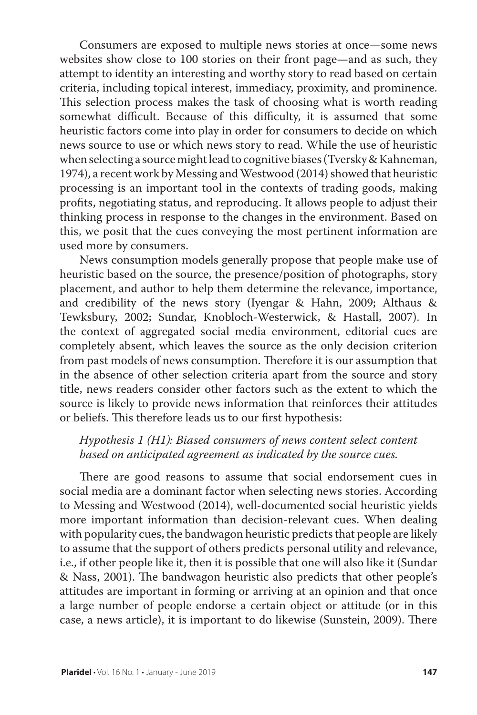Consumers are exposed to multiple news stories at once—some news websites show close to 100 stories on their front page—and as such, they attempt to identity an interesting and worthy story to read based on certain criteria, including topical interest, immediacy, proximity, and prominence. This selection process makes the task of choosing what is worth reading somewhat difficult. Because of this difficulty, it is assumed that some heuristic factors come into play in order for consumers to decide on which news source to use or which news story to read. While the use of heuristic when selecting a source might lead to cognitive biases (Tversky & Kahneman, 1974), a recent work by Messing and Westwood (2014) showed that heuristic processing is an important tool in the contexts of trading goods, making profits, negotiating status, and reproducing. It allows people to adjust their thinking process in response to the changes in the environment. Based on this, we posit that the cues conveying the most pertinent information are used more by consumers.

News consumption models generally propose that people make use of heuristic based on the source, the presence/position of photographs, story placement, and author to help them determine the relevance, importance, and credibility of the news story (Iyengar & Hahn, 2009; Althaus & Tewksbury, 2002; Sundar, Knobloch-Westerwick, & Hastall, 2007). In the context of aggregated social media environment, editorial cues are completely absent, which leaves the source as the only decision criterion from past models of news consumption. Therefore it is our assumption that in the absence of other selection criteria apart from the source and story title, news readers consider other factors such as the extent to which the source is likely to provide news information that reinforces their attitudes or beliefs. This therefore leads us to our first hypothesis:

## *Hypothesis 1 (H1): Biased consumers of news content select content based on anticipated agreement as indicated by the source cues.*

There are good reasons to assume that social endorsement cues in social media are a dominant factor when selecting news stories. According to Messing and Westwood (2014), well-documented social heuristic yields more important information than decision-relevant cues. When dealing with popularity cues, the bandwagon heuristic predicts that people are likely to assume that the support of others predicts personal utility and relevance, i.e., if other people like it, then it is possible that one will also like it (Sundar & Nass, 2001). The bandwagon heuristic also predicts that other people's attitudes are important in forming or arriving at an opinion and that once a large number of people endorse a certain object or attitude (or in this case, a news article), it is important to do likewise (Sunstein, 2009). There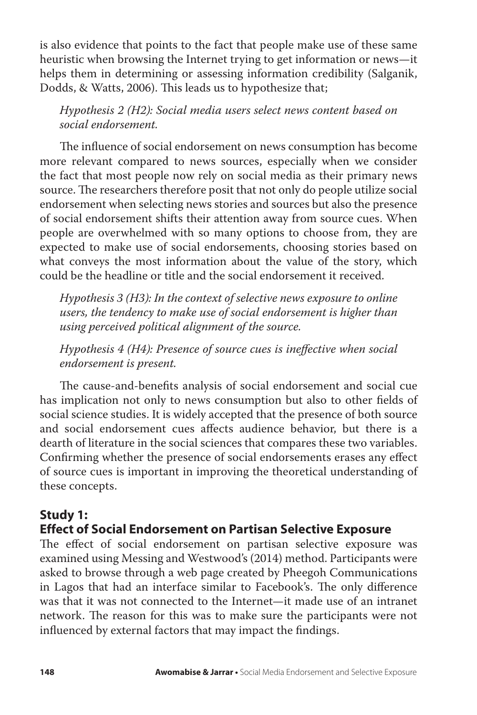is also evidence that points to the fact that people make use of these same heuristic when browsing the Internet trying to get information or news—it helps them in determining or assessing information credibility (Salganik, Dodds, & Watts, 2006). This leads us to hypothesize that;

*Hypothesis 2 (H2): Social media users select news content based on social endorsement.* 

The influence of social endorsement on news consumption has become more relevant compared to news sources, especially when we consider the fact that most people now rely on social media as their primary news source. The researchers therefore posit that not only do people utilize social endorsement when selecting news stories and sources but also the presence of social endorsement shifts their attention away from source cues. When people are overwhelmed with so many options to choose from, they are expected to make use of social endorsements, choosing stories based on what conveys the most information about the value of the story, which could be the headline or title and the social endorsement it received.

*Hypothesis 3 (H3): In the context of selective news exposure to online users, the tendency to make use of social endorsement is higher than using perceived political alignment of the source.* 

*Hypothesis 4 (H4): Presence of source cues is ineffective when social endorsement is present.*

The cause-and-benefits analysis of social endorsement and social cue has implication not only to news consumption but also to other fields of social science studies. It is widely accepted that the presence of both source and social endorsement cues affects audience behavior, but there is a dearth of literature in the social sciences that compares these two variables. Confirming whether the presence of social endorsements erases any effect of source cues is important in improving the theoretical understanding of these concepts.

# **Study 1:**

# **Effect of Social Endorsement on Partisan Selective Exposure**

The effect of social endorsement on partisan selective exposure was examined using Messing and Westwood's (2014) method. Participants were asked to browse through a web page created by Pheegoh Communications in Lagos that had an interface similar to Facebook's. The only difference was that it was not connected to the Internet—it made use of an intranet network. The reason for this was to make sure the participants were not influenced by external factors that may impact the findings.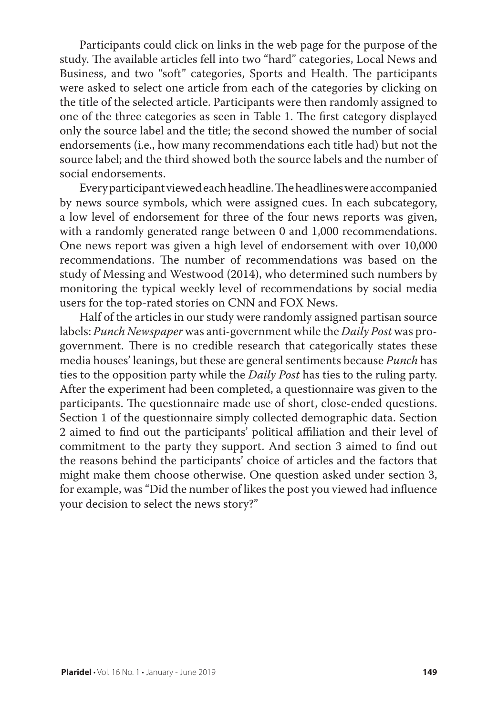Participants could click on links in the web page for the purpose of the study. The available articles fell into two "hard" categories, Local News and Business, and two "soft" categories, Sports and Health. The participants were asked to select one article from each of the categories by clicking on the title of the selected article. Participants were then randomly assigned to one of the three categories as seen in Table 1. The first category displayed only the source label and the title; the second showed the number of social endorsements (i.e., how many recommendations each title had) but not the source label; and the third showed both the source labels and the number of social endorsements.

Every participant viewed each headline. The headlines were accompanied by news source symbols, which were assigned cues. In each subcategory, a low level of endorsement for three of the four news reports was given, with a randomly generated range between 0 and 1,000 recommendations. One news report was given a high level of endorsement with over 10,000 recommendations. The number of recommendations was based on the study of Messing and Westwood (2014), who determined such numbers by monitoring the typical weekly level of recommendations by social media users for the top-rated stories on CNN and FOX News.

Half of the articles in our study were randomly assigned partisan source labels: *Punch Newspaper* was anti-government while the *Daily Post* was progovernment. There is no credible research that categorically states these media houses' leanings, but these are general sentiments because *Punch* has ties to the opposition party while the *Daily Post* has ties to the ruling party. After the experiment had been completed, a questionnaire was given to the participants. The questionnaire made use of short, close-ended questions. Section 1 of the questionnaire simply collected demographic data. Section 2 aimed to find out the participants' political affiliation and their level of commitment to the party they support. And section 3 aimed to find out the reasons behind the participants' choice of articles and the factors that might make them choose otherwise. One question asked under section 3, for example, was "Did the number of likes the post you viewed had influence your decision to select the news story?"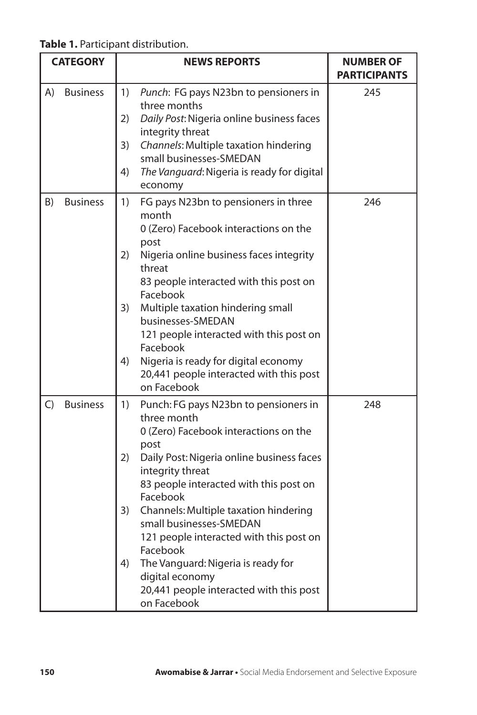**Table 1.** Participant distribution.

| <b>CATEGORY</b> |                 | <b>NEWS REPORTS</b>                                                                   | <b>NUMBER OF</b><br><b>PARTICIPANTS</b> |
|-----------------|-----------------|---------------------------------------------------------------------------------------|-----------------------------------------|
| A)              | <b>Business</b> | 1)<br>Punch: FG pays N23bn to pensioners in<br>three months                           | 245                                     |
|                 |                 | Daily Post: Nigeria online business faces<br>2)<br>integrity threat                   |                                         |
|                 |                 | 3)<br>Channels: Multiple taxation hindering<br>small businesses-SMEDAN                |                                         |
|                 |                 | The Vanguard: Nigeria is ready for digital<br>4)<br>economy                           |                                         |
| B)              | <b>Business</b> | FG pays N23bn to pensioners in three<br>1)<br>month                                   | 246                                     |
|                 |                 | 0 (Zero) Facebook interactions on the<br>post                                         |                                         |
|                 |                 | Nigeria online business faces integrity<br>2)<br>threat                               |                                         |
|                 |                 | 83 people interacted with this post on<br>Facebook                                    |                                         |
|                 |                 | 3)<br>Multiple taxation hindering small<br>businesses-SMEDAN                          |                                         |
|                 |                 | 121 people interacted with this post on<br>Facebook                                   |                                         |
|                 |                 | 4)<br>Nigeria is ready for digital economy<br>20,441 people interacted with this post |                                         |
|                 |                 | on Facebook                                                                           |                                         |
| $\mathsf{C}$    | <b>Business</b> | 1)<br>Punch: FG pays N23bn to pensioners in<br>three month                            | 248                                     |
|                 |                 | 0 (Zero) Facebook interactions on the<br>post                                         |                                         |
|                 |                 | Daily Post: Nigeria online business faces<br>2)<br>integrity threat                   |                                         |
|                 |                 | 83 people interacted with this post on<br>Facebook                                    |                                         |
|                 |                 | Channels: Multiple taxation hindering<br>3)<br>small businesses-SMEDAN                |                                         |
|                 |                 | 121 people interacted with this post on<br>Facebook                                   |                                         |
|                 |                 | 4)<br>The Vanguard: Nigeria is ready for<br>digital economy                           |                                         |
|                 |                 | 20,441 people interacted with this post                                               |                                         |
|                 |                 | on Facebook                                                                           |                                         |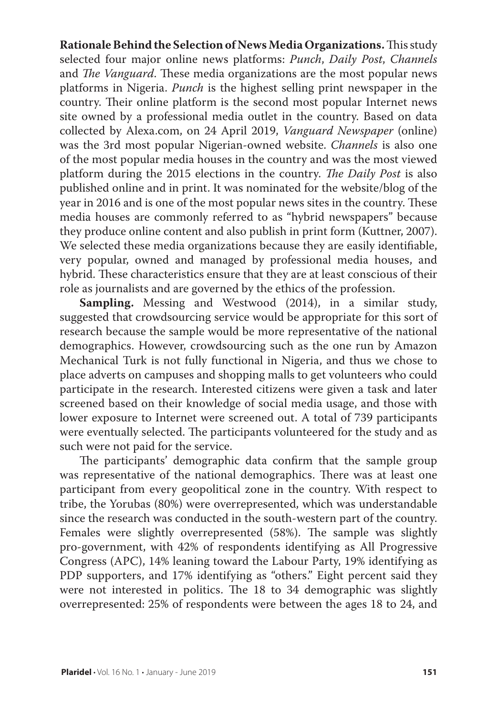**Rationale Behind the Selection of News Media Organizations.** This study selected four major online news platforms: *Punch*, *Daily Post*, *Channels*  and *The Vanguard*. These media organizations are the most popular news platforms in Nigeria. *Punch* is the highest selling print newspaper in the country. Their online platform is the second most popular Internet news site owned by a professional media outlet in the country. Based on data collected by Alexa.com, on 24 April 2019, *Vanguard Newspaper* (online) was the 3rd most popular Nigerian-owned website. *Channels* is also one of the most popular media houses in the country and was the most viewed platform during the 2015 elections in the country. *The Daily Post* is also published online and in print. It was nominated for the website/blog of the year in 2016 and is one of the most popular news sites in the country. These media houses are commonly referred to as "hybrid newspapers" because they produce online content and also publish in print form (Kuttner, 2007). We selected these media organizations because they are easily identifiable, very popular, owned and managed by professional media houses, and hybrid. These characteristics ensure that they are at least conscious of their role as journalists and are governed by the ethics of the profession.

**Sampling.** Messing and Westwood (2014), in a similar study, suggested that crowdsourcing service would be appropriate for this sort of research because the sample would be more representative of the national demographics. However, crowdsourcing such as the one run by Amazon Mechanical Turk is not fully functional in Nigeria, and thus we chose to place adverts on campuses and shopping malls to get volunteers who could participate in the research. Interested citizens were given a task and later screened based on their knowledge of social media usage, and those with lower exposure to Internet were screened out. A total of 739 participants were eventually selected. The participants volunteered for the study and as such were not paid for the service.

The participants' demographic data confirm that the sample group was representative of the national demographics. There was at least one participant from every geopolitical zone in the country. With respect to tribe, the Yorubas (80%) were overrepresented, which was understandable since the research was conducted in the south-western part of the country. Females were slightly overrepresented (58%). The sample was slightly pro-government, with 42% of respondents identifying as All Progressive Congress (APC), 14% leaning toward the Labour Party, 19% identifying as PDP supporters, and 17% identifying as "others." Eight percent said they were not interested in politics. The 18 to 34 demographic was slightly overrepresented: 25% of respondents were between the ages 18 to 24, and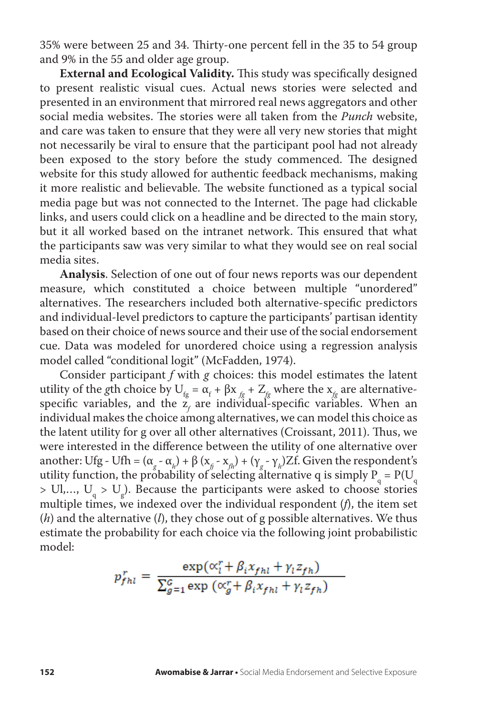35% were between 25 and 34. Thirty-one percent fell in the 35 to 54 group and 9% in the 55 and older age group.

**External and Ecological Validity.** This study was specifically designed to present realistic visual cues. Actual news stories were selected and presented in an environment that mirrored real news aggregators and other social media websites. The stories were all taken from the *Punch* website, and care was taken to ensure that they were all very new stories that might not necessarily be viral to ensure that the participant pool had not already been exposed to the story before the study commenced. The designed website for this study allowed for authentic feedback mechanisms, making it more realistic and believable. The website functioned as a typical social media page but was not connected to the Internet. The page had clickable links, and users could click on a headline and be directed to the main story, but it all worked based on the intranet network. This ensured that what the participants saw was very similar to what they would see on real social media sites.

**Analysis**. Selection of one out of four news reports was our dependent measure, which constituted a choice between multiple "unordered" alternatives. The researchers included both alternative-specific predictors and individual-level predictors to capture the participants' partisan identity based on their choice of news source and their use of the social endorsement cue. Data was modeled for unordered choice using a regression analysis model called "conditional logit" (McFadden, 1974).

Consider participant *f* with *g* choices: this model estimates the latent utility of the *g*th choice by  $U_{fg} = \alpha_f + \beta x_{fg} + Z_{fg}$  where the  $x_{fg}$  are alternativespecific variables, and the  $z_f$  are individual-specific variables. When an individual makes the choice among alternatives, we can model this choice as the latent utility for g over all other alternatives (Croissant, 2011). Thus, we were interested in the difference between the utility of one alternative over another: Ufg - Ufh = ( $\alpha_g$  -  $\alpha_h$ ) +  $\beta$  ( $x_g$  -  $x_{fh}$ ) + ( $\gamma_g$  -  $\gamma_h$ ) Zf. Given the respondent's utility function, the probability of selecting alternative q is simply  $P_q = P(U_q)$  $>$  Ul,..., U<sub>q</sub>  $>$  U<sub>g</sub>). Because the participants were asked to choose stories multiple times, we indexed over the individual respondent (*f*), the item set (*h*) and the alternative (*l*), they chose out of g possible alternatives. We thus estimate the probability for each choice via the following joint probabilistic model:

$$
p_{fnl}^r = \frac{\exp(\alpha_l^r + \beta_i x_{fnl} + \gamma_l z_{fn})}{\sum_{g=1}^c \exp(\alpha_g^r + \beta_i x_{fnl} + \gamma_l z_{fn})}
$$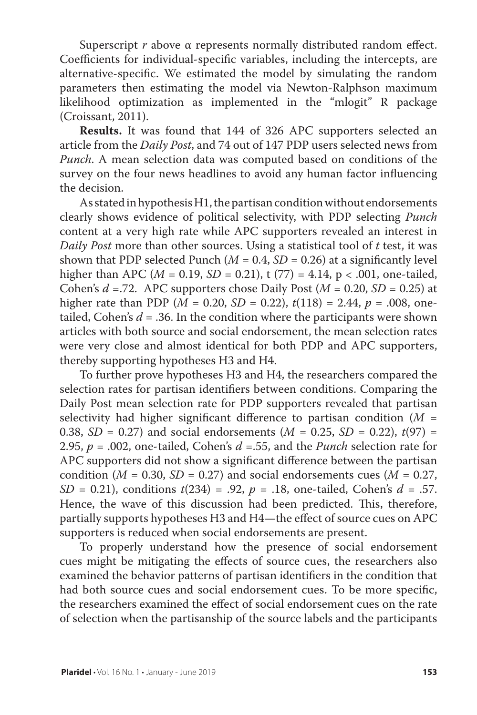Superscript *r* above α represents normally distributed random effect. Coefficients for individual-specific variables, including the intercepts, are alternative-specific. We estimated the model by simulating the random parameters then estimating the model via Newton-Ralphson maximum likelihood optimization as implemented in the "mlogit" R package (Croissant, 2011).

**Results.** It was found that 144 of 326 APC supporters selected an article from the *Daily Post*, and 74 out of 147 PDP users selected news from *Punch*. A mean selection data was computed based on conditions of the survey on the four news headlines to avoid any human factor influencing the decision.

As stated in hypothesis H1, the partisan condition without endorsements clearly shows evidence of political selectivity, with PDP selecting *Punch*  content at a very high rate while APC supporters revealed an interest in *Daily Post* more than other sources. Using a statistical tool of *t* test, it was shown that PDP selected Punch  $(M = 0.4, SD = 0.26)$  at a significantly level higher than APC ( $M = 0.19$ ,  $SD = 0.21$ ), t (77) = 4.14, p < .001, one-tailed, Cohen's  $d = 72$ . APC supporters chose Daily Post ( $M = 0.20$ ,  $SD = 0.25$ ) at higher rate than PDP ( $M = 0.20$ ,  $SD = 0.22$ ),  $t(118) = 2.44$ ,  $p = .008$ , onetailed, Cohen's  $d = 0.36$ . In the condition where the participants were shown articles with both source and social endorsement, the mean selection rates were very close and almost identical for both PDP and APC supporters, thereby supporting hypotheses H3 and H4.

To further prove hypotheses H3 and H4, the researchers compared the selection rates for partisan identifiers between conditions. Comparing the Daily Post mean selection rate for PDP supporters revealed that partisan selectivity had higher significant difference to partisan condition (*M* = 0.38,  $SD = 0.27$ ) and social endorsements ( $M = 0.25$ ,  $SD = 0.22$ ),  $t(97) =$ 2.95, *p* = .002, one-tailed, Cohen's *d* =.55, and the *Punch* selection rate for APC supporters did not show a significant difference between the partisan condition ( $M = 0.30$ ,  $SD = 0.27$ ) and social endorsements cues ( $M = 0.27$ , *SD* = 0.21), conditions *t*(234) = .92, *p* = .18, one-tailed, Cohen's *d* = .57. Hence, the wave of this discussion had been predicted. This, therefore, partially supports hypotheses H3 and H4—the effect of source cues on APC supporters is reduced when social endorsements are present.

To properly understand how the presence of social endorsement cues might be mitigating the effects of source cues, the researchers also examined the behavior patterns of partisan identifiers in the condition that had both source cues and social endorsement cues. To be more specific, the researchers examined the effect of social endorsement cues on the rate of selection when the partisanship of the source labels and the participants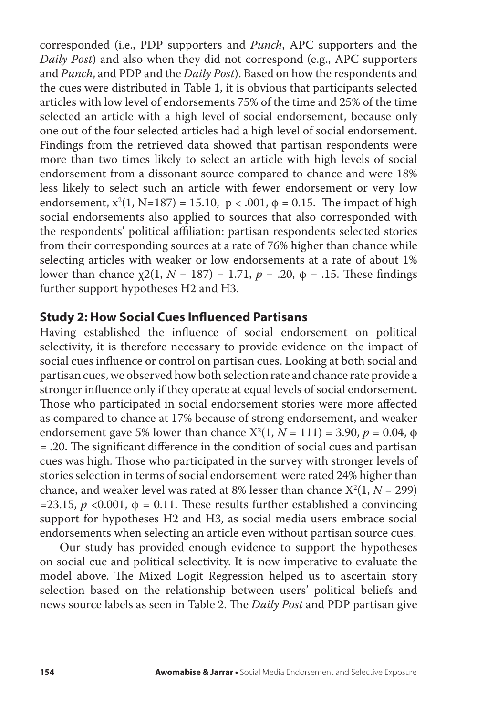corresponded (i.e., PDP supporters and *Punch*, APC supporters and the *Daily Post*) and also when they did not correspond (e.g., APC supporters and *Punch*, and PDP and the *Daily Post*). Based on how the respondents and the cues were distributed in Table 1, it is obvious that participants selected articles with low level of endorsements 75% of the time and 25% of the time selected an article with a high level of social endorsement, because only one out of the four selected articles had a high level of social endorsement. Findings from the retrieved data showed that partisan respondents were more than two times likely to select an article with high levels of social endorsement from a dissonant source compared to chance and were 18% less likely to select such an article with fewer endorsement or very low endorsement,  $x^2(1, N=187) = 15.10$ ,  $p < .001$ ,  $\phi = 0.15$ . The impact of high social endorsements also applied to sources that also corresponded with the respondents' political affiliation: partisan respondents selected stories from their corresponding sources at a rate of 76% higher than chance while selecting articles with weaker or low endorsements at a rate of about 1% lower than chance  $\chi$ 2(1, *N* = 187) = 1.71, *p* = .20, φ = .15. These findings further support hypotheses H2 and H3.

#### **Study 2: How Social Cues Influenced Partisans**

Having established the influence of social endorsement on political selectivity, it is therefore necessary to provide evidence on the impact of social cues influence or control on partisan cues. Looking at both social and partisan cues, we observed how both selection rate and chance rate provide a stronger influence only if they operate at equal levels of social endorsement. Those who participated in social endorsement stories were more affected as compared to chance at 17% because of strong endorsement, and weaker endorsement gave 5% lower than chance  $X^2(1, N = 111) = 3.90, p = 0.04, φ$ = .20. The significant difference in the condition of social cues and partisan cues was high. Those who participated in the survey with stronger levels of stories selection in terms of social endorsement were rated 24% higher than chance, and weaker level was rated at  $8\%$  lesser than chance  $X^2(1, N = 299)$ =23.15,  $p \le 0.001$ ,  $\phi = 0.11$ . These results further established a convincing support for hypotheses H2 and H3, as social media users embrace social endorsements when selecting an article even without partisan source cues.

Our study has provided enough evidence to support the hypotheses on social cue and political selectivity. It is now imperative to evaluate the model above. The Mixed Logit Regression helped us to ascertain story selection based on the relationship between users' political beliefs and news source labels as seen in Table 2. The *Daily Post* and PDP partisan give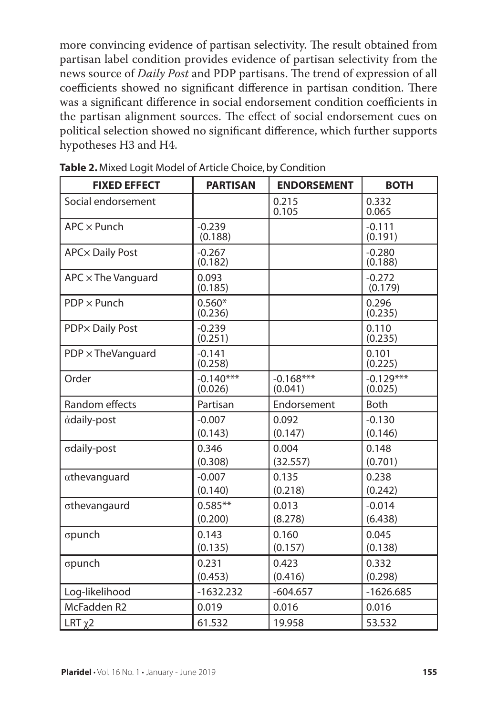more convincing evidence of partisan selectivity. The result obtained from partisan label condition provides evidence of partisan selectivity from the news source of *Daily Post* and PDP partisans. The trend of expression of all coefficients showed no significant difference in partisan condition. There was a significant difference in social endorsement condition coefficients in the partisan alignment sources. The effect of social endorsement cues on political selection showed no significant difference, which further supports hypotheses H3 and H4.

| <b>FIXED EFFECT</b>       | <b>PARTISAN</b>        | <b>ENDORSEMENT</b>     | <b>BOTH</b>            |
|---------------------------|------------------------|------------------------|------------------------|
| Social endorsement        |                        | 0.215<br>0.105         | 0.332<br>0.065         |
| $APC \times$ Punch        | $-0.239$<br>(0.188)    |                        | $-0.111$<br>(0.191)    |
| <b>APC</b> × Daily Post   | $-0.267$<br>(0.182)    |                        | $-0.280$<br>(0.188)    |
| $APC \times The Vanguard$ | 0.093<br>(0.185)       |                        | $-0.272$<br>(0.179)    |
| $PDP \times Punch$        | $0.560*$<br>(0.236)    |                        | 0.296<br>(0.235)       |
| <b>PDP</b> × Daily Post   | $-0.239$<br>(0.251)    |                        | 0.110<br>(0.235)       |
| $PDP \times The Vanguard$ | $-0.141$<br>(0.258)    |                        | 0.101<br>(0.225)       |
| Order                     | $-0.140***$<br>(0.026) | $-0.168***$<br>(0.041) | $-0.129***$<br>(0.025) |
| <b>Random effects</b>     | Partisan               | Endorsement            | <b>Both</b>            |
| adaily-post               | $-0.007$<br>(0.143)    | 0.092<br>(0.147)       | $-0.130$<br>(0.146)    |
| σdaily-post               | 0.346<br>(0.308)       | 0.004<br>(32.557)      | 0.148<br>(0.701)       |
| athevanguard              | $-0.007$<br>(0.140)    | 0.135<br>(0.218)       | 0.238<br>(0.242)       |
| othevangaurd              | $0.585**$<br>(0.200)   | 0.013<br>(8.278)       | $-0.014$<br>(6.438)    |
| σpunch                    | 0.143<br>(0.135)       | 0.160<br>(0.157)       | 0.045<br>(0.138)       |
| σpunch                    | 0.231<br>(0.453)       | 0.423<br>(0.416)       | 0.332<br>(0.298)       |
| Log-likelihood            | $-1632.232$            | $-604.657$             | $-1626.685$            |
| McFadden R2               | 0.019                  | 0.016                  | 0.016                  |
| LRT $\chi$ 2              | 61.532                 | 19.958                 | 53.532                 |

**Table 2.** Mixed Logit Model of Article Choice, by Condition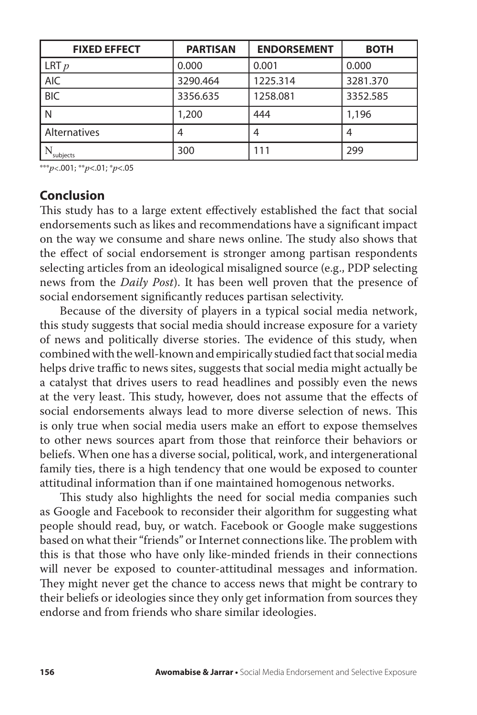| <b>FIXED EFFECT</b> | <b>PARTISAN</b> | <b>ENDORSEMENT</b> | <b>BOTH</b> |
|---------------------|-----------------|--------------------|-------------|
| LRT p               | 0.000           | 0.001              | 0.000       |
| <b>AIC</b>          | 3290.464        | 1225.314           | 3281.370    |
| <b>BIC</b>          | 3356.635        | 1258.081           | 3352.585    |
| N                   | 1,200           | 444                | 1,196       |
| Alternatives        |                 |                    | 4           |
| subjects            | 300             | 111                | 299         |

\*\*\**p*<.001; \*\**p*<.01; \**p*<.05

## **Conclusion**

This study has to a large extent effectively established the fact that social endorsements such as likes and recommendations have a significant impact on the way we consume and share news online. The study also shows that the effect of social endorsement is stronger among partisan respondents selecting articles from an ideological misaligned source (e.g., PDP selecting news from the *Daily Post*). It has been well proven that the presence of social endorsement significantly reduces partisan selectivity.

Because of the diversity of players in a typical social media network, this study suggests that social media should increase exposure for a variety of news and politically diverse stories. The evidence of this study, when combined with the well-known and empirically studied fact that social media helps drive traffic to news sites, suggests that social media might actually be a catalyst that drives users to read headlines and possibly even the news at the very least. This study, however, does not assume that the effects of social endorsements always lead to more diverse selection of news. This is only true when social media users make an effort to expose themselves to other news sources apart from those that reinforce their behaviors or beliefs. When one has a diverse social, political, work, and intergenerational family ties, there is a high tendency that one would be exposed to counter attitudinal information than if one maintained homogenous networks.

This study also highlights the need for social media companies such as Google and Facebook to reconsider their algorithm for suggesting what people should read, buy, or watch. Facebook or Google make suggestions based on what their "friends" or Internet connections like. The problem with this is that those who have only like-minded friends in their connections will never be exposed to counter-attitudinal messages and information. They might never get the chance to access news that might be contrary to their beliefs or ideologies since they only get information from sources they endorse and from friends who share similar ideologies.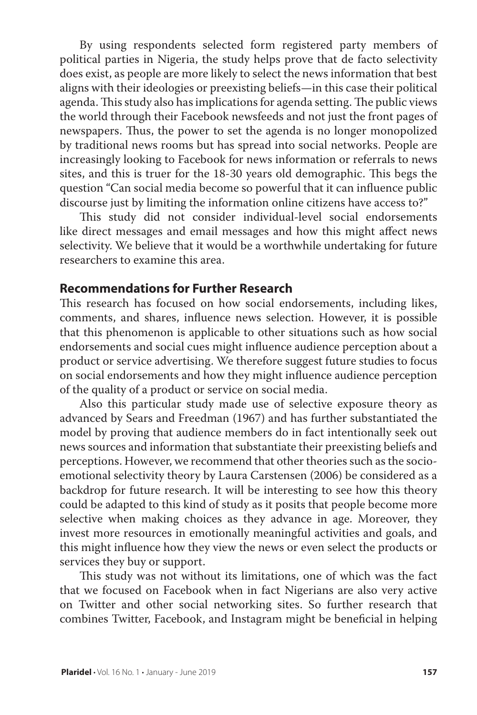By using respondents selected form registered party members of political parties in Nigeria, the study helps prove that de facto selectivity does exist, as people are more likely to select the news information that best aligns with their ideologies or preexisting beliefs—in this case their political agenda. This study also has implications for agenda setting. The public views the world through their Facebook newsfeeds and not just the front pages of newspapers. Thus, the power to set the agenda is no longer monopolized by traditional news rooms but has spread into social networks. People are increasingly looking to Facebook for news information or referrals to news sites, and this is truer for the 18-30 years old demographic. This begs the question "Can social media become so powerful that it can influence public discourse just by limiting the information online citizens have access to?"

This study did not consider individual-level social endorsements like direct messages and email messages and how this might affect news selectivity. We believe that it would be a worthwhile undertaking for future researchers to examine this area.

# **Recommendations for Further Research**

This research has focused on how social endorsements, including likes, comments, and shares, influence news selection. However, it is possible that this phenomenon is applicable to other situations such as how social endorsements and social cues might influence audience perception about a product or service advertising. We therefore suggest future studies to focus on social endorsements and how they might influence audience perception of the quality of a product or service on social media.

Also this particular study made use of selective exposure theory as advanced by Sears and Freedman (1967) and has further substantiated the model by proving that audience members do in fact intentionally seek out news sources and information that substantiate their preexisting beliefs and perceptions. However, we recommend that other theories such as the socioemotional selectivity theory by Laura Carstensen (2006) be considered as a backdrop for future research. It will be interesting to see how this theory could be adapted to this kind of study as it posits that people become more selective when making choices as they advance in age. Moreover, they invest more resources in emotionally meaningful activities and goals, and this might influence how they view the news or even select the products or services they buy or support.

This study was not without its limitations, one of which was the fact that we focused on Facebook when in fact Nigerians are also very active on Twitter and other social networking sites. So further research that combines Twitter, Facebook, and Instagram might be beneficial in helping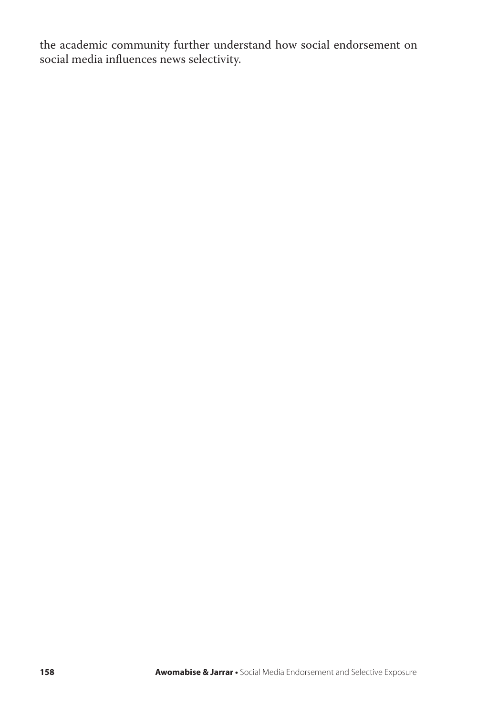the academic community further understand how social endorsement on social media influences news selectivity.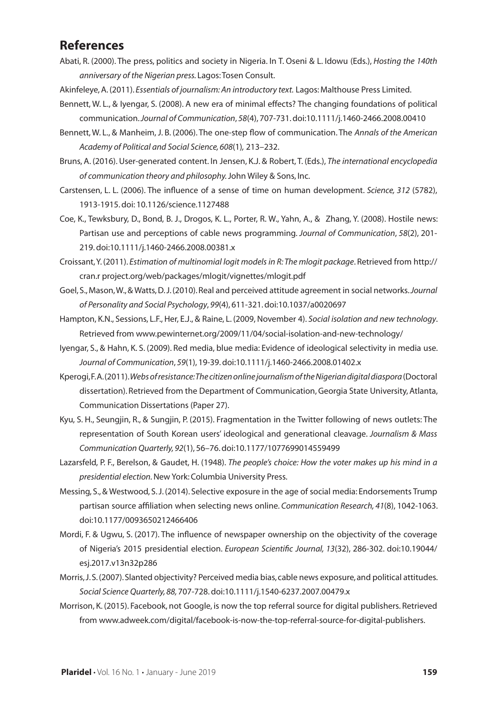## **References**

- Abati, R. (2000). The press, politics and society in Nigeria. In T. Oseni & L. Idowu (Eds.), *Hosting the 140th anniversary of the Nigerian press.* Lagos: Tosen Consult.
- Akinfeleye, A. (2011). *Essentials of journalism: An introductory text.* Lagos: Malthouse Press Limited.
- Bennett, W. L., & Iyengar, S. (2008). A new era of minimal effects? The changing foundations of political communication. *Journal of Communication*, *58*(4), 707-731. doi:10.1111/j.1460-2466.2008.00410
- Bennett, W. L., & Manheim, J. B. (2006). The one-step flow of communication. The *Annals of the American Academy of Political and Social Science, 608*(1)*,* 213–232.
- Bruns, A. (2016). User-generated content. In Jensen, K.J. & Robert, T. (Eds.), *The international encyclopedia of communication theory and philosophy.* John Wiley & Sons, Inc.
- Carstensen, L. L. (2006). The influence of a sense of time on human development. *Science, 312* (5782), 1913-1915. doi: 10.1126/science.1127488
- Coe, K., Tewksbury, D., Bond, B. J., Drogos, K. L., Porter, R. W., Yahn, A., & Zhang, Y. (2008). Hostile news: Partisan use and perceptions of cable news programming. *Journal of Communication*, *58*(2), 201- 219. doi:10.1111/j.1460-2466.2008.00381.x
- Croissant, Y. (2011). *Estimation of multinomial logit models in R: The mlogit package*. Retrieved from http:// cran.r project.org/web/packages/mlogit/vignettes/mlogit.pdf
- Goel, S., Mason, W., & Watts, D. J. (2010). Real and perceived attitude agreement in social networks. *Journal of Personality and Social Psychology*, *99*(4), 611-321. doi:10.1037/a0020697
- Hampton, K.N., Sessions, L.F., Her, E.J., & Raine, L. (2009, November 4). *Social isolation and new technology*. Retrieved from www.pewinternet.org/2009/11/04/social-isolation-and-new-technology/
- Iyengar, S., & Hahn, K. S. (2009). Red media, blue media: Evidence of ideological selectivity in media use. *Journal of Communication*, *59*(1), 19-39. doi:10.1111/j.1460-2466.2008.01402.x
- Kperogi, F. A. (2011). *Webs of resistance: The citizen online journalism of the Nigerian digital diaspora* (Doctoral dissertation). Retrieved from the Department of Communication, Georgia State University, Atlanta, Communication Dissertations (Paper 27).
- Kyu, S. H., Seungjin, R., & Sungjin, P. (2015). Fragmentation in the Twitter following of news outlets: The representation of South Korean users' ideological and generational cleavage. *Journalism & Mass Communication Quarterly, 92*(1), 56–76. doi:10.1177/1077699014559499
- Lazarsfeld, P. F., Berelson, & Gaudet, H. (1948). *The people's choice: How the voter makes up his mind in a presidential election.* New York: Columbia University Press.
- Messing, S., & Westwood, S. J. (2014). Selective exposure in the age of social media: Endorsements Trump partisan source affiliation when selecting news online. *Communication Research, 41*(8), 1042-1063. doi:10.1177/0093650212466406
- Mordi, F. & Ugwu, S. (2017). The influence of newspaper ownership on the objectivity of the coverage of Nigeria's 2015 presidential election. *European Scientific Journal, 13*(32), 286-302. doi:10.19044/ esj.2017.v13n32p286
- Morris, J. S. (2007). Slanted objectivity? Perceived media bias, cable news exposure, and political attitudes. *Social Science Quarterly, 88,* 707-728. doi:10.1111/j.1540-6237.2007.00479.x
- Morrison, K. (2015). Facebook, not Google, is now the top referral source for digital publishers. Retrieved from www.adweek.com/digital/facebook-is-now-the-top-referral-source-for-digital-publishers.